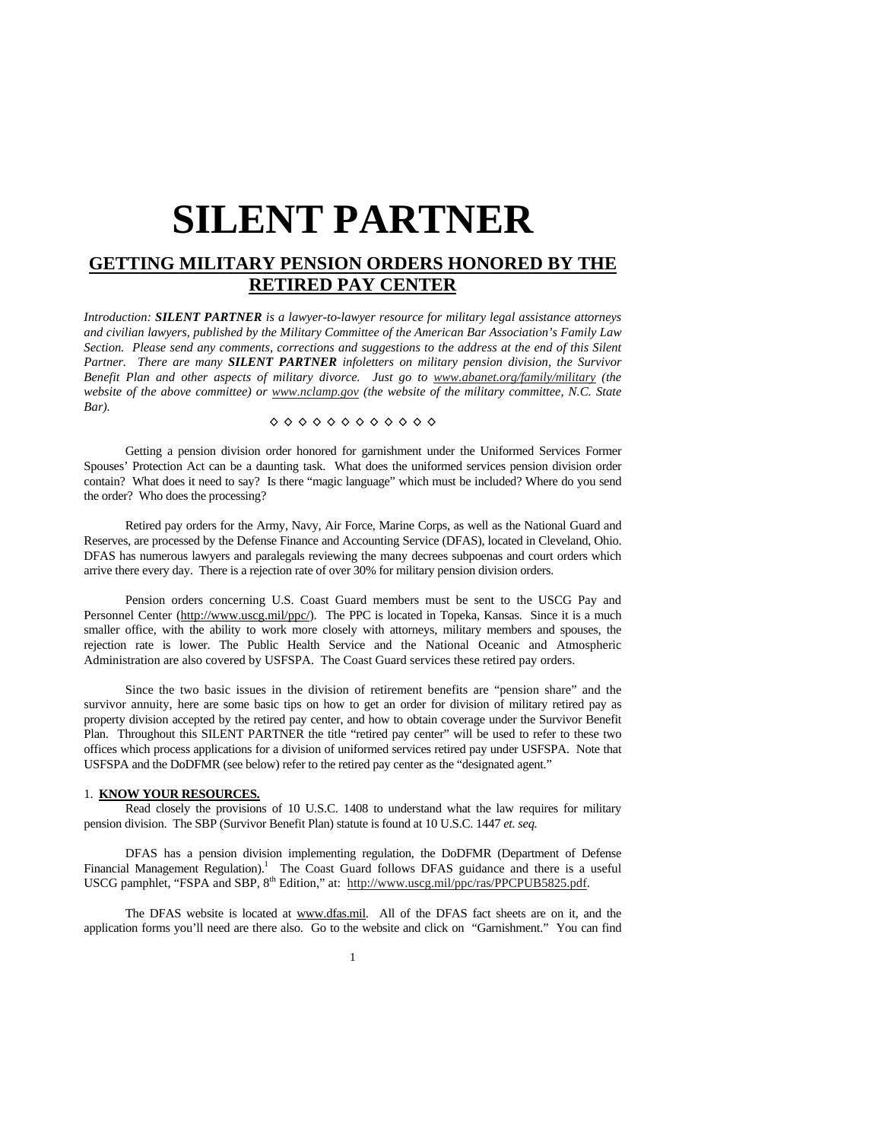# **SILENT PARTNER**

# **GETTING MILITARY PENSION ORDERS HONORED BY THE RETIRED PAY CENTER**

*Introduction: SILENT PARTNER is a lawyer-to-lawyer resource for military legal assistance attorneys and civilian lawyers, published by the Military Committee of the American Bar Association's Family Law Section. Please send any comments, corrections and suggestions to the address at the end of this Silent Partner. There are many SILENT PARTNER infoletters on military pension division, the Survivor Benefit Plan and other aspects of military divorce. Just go to www.abanet.org/family/military (the website of the above committee) or www.nclamp.gov (the website of the military committee, N.C. State Bar).* 

## ◊ ◊ ◊ ◊ ◊ ◊ ◊ ◊ ◊ ◊ ◊ ◊

 Getting a pension division order honored for garnishment under the Uniformed Services Former Spouses' Protection Act can be a daunting task. What does the uniformed services pension division order contain? What does it need to say? Is there "magic language" which must be included? Where do you send the order? Who does the processing?

 Retired pay orders for the Army, Navy, Air Force, Marine Corps, as well as the National Guard and Reserves, are processed by the Defense Finance and Accounting Service (DFAS), located in Cleveland, Ohio. DFAS has numerous lawyers and paralegals reviewing the many decrees subpoenas and court orders which arrive there every day. There is a rejection rate of over 30% for military pension division orders.

 Pension orders concerning U.S. Coast Guard members must be sent to the USCG Pay and Personnel Center (http://www.uscg.mil/ppc/). The PPC is located in Topeka, Kansas. Since it is a much smaller office, with the ability to work more closely with attorneys, military members and spouses, the rejection rate is lower. The Public Health Service and the National Oceanic and Atmospheric Administration are also covered by USFSPA. The Coast Guard services these retired pay orders.

 Since the two basic issues in the division of retirement benefits are "pension share" and the survivor annuity, here are some basic tips on how to get an order for division of military retired pay as property division accepted by the retired pay center, and how to obtain coverage under the Survivor Benefit Plan. Throughout this SILENT PARTNER the title "retired pay center" will be used to refer to these two offices which process applications for a division of uniformed services retired pay under USFSPA. Note that USFSPA and the DoDFMR (see below) refer to the retired pay center as the "designated agent."

#### 1. **KNOW YOUR RESOURCES.**

 Read closely the provisions of 10 U.S.C. 1408 to understand what the law requires for military pension division. The SBP (Survivor Benefit Plan) statute is found at 10 U.S.C. 1447 *et. seq.*

 DFAS has a pension division implementing regulation, the DoDFMR (Department of Defense Financial Management Regulation).<sup>1</sup> The Coast Guard follows DFAS guidance and there is a useful USCG pamphlet, "FSPA and SBP, 8<sup>th</sup> Edition," at: http://www.uscg.mil/ppc/ras/PPCPUB5825.pdf.

 The DFAS website is located at www.dfas.mil. All of the DFAS fact sheets are on it, and the application forms you'll need are there also. Go to the website and click on "Garnishment." You can find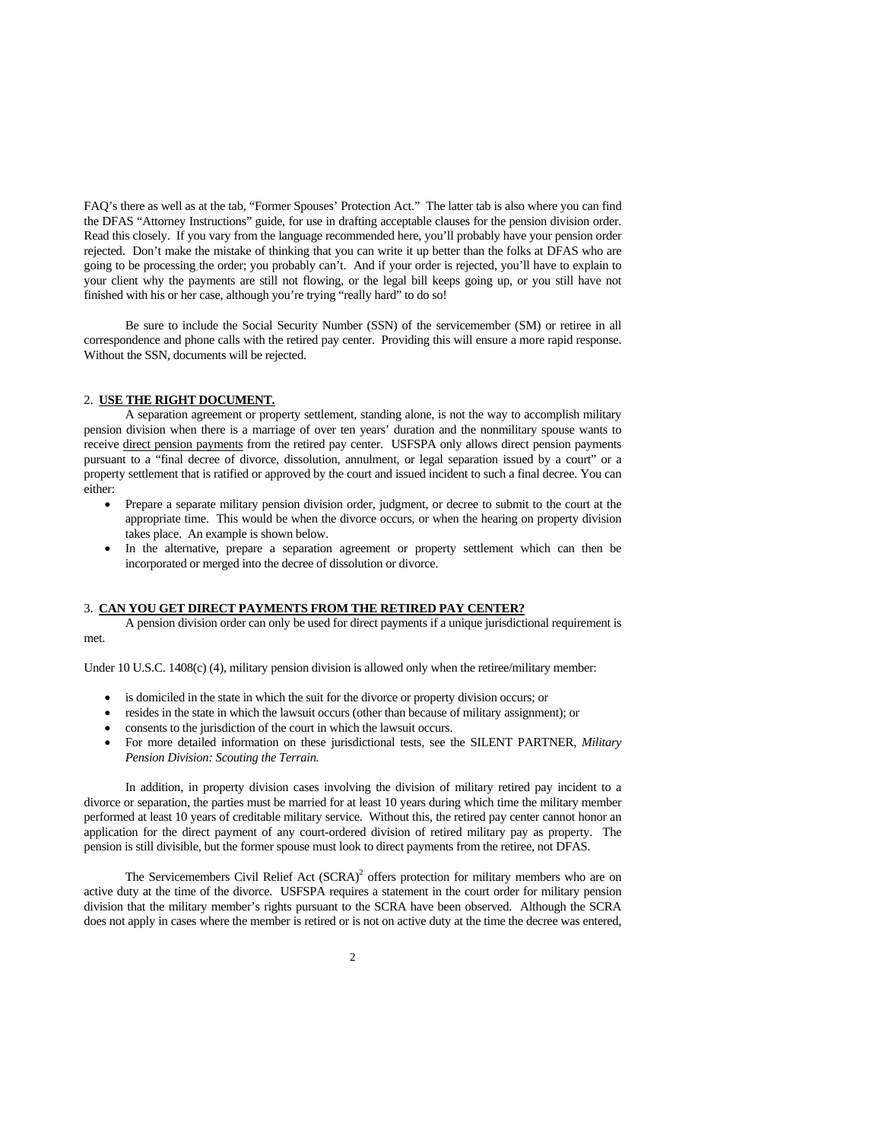FAQ's there as well as at the tab, "Former Spouses' Protection Act." The latter tab is also where you can find the DFAS "Attorney Instructions" guide, for use in drafting acceptable clauses for the pension division order. Read this closely. If you vary from the language recommended here, you'll probably have your pension order rejected. Don't make the mistake of thinking that you can write it up better than the folks at DFAS who are going to be processing the order; you probably can't. And if your order is rejected, you'll have to explain to your client why the payments are still not flowing, or the legal bill keeps going up, or you still have not finished with his or her case, although you're trying "really hard" to do so!

 Be sure to include the Social Security Number (SSN) of the servicemember (SM) or retiree in all correspondence and phone calls with the retired pay center. Providing this will ensure a more rapid response. Without the SSN, documents will be rejected.

#### 2. **USE THE RIGHT DOCUMENT.**

 A separation agreement or property settlement, standing alone, is not the way to accomplish military pension division when there is a marriage of over ten years' duration and the nonmilitary spouse wants to receive direct pension payments from the retired pay center. USFSPA only allows direct pension payments pursuant to a "final decree of divorce, dissolution, annulment, or legal separation issued by a court" or a property settlement that is ratified or approved by the court and issued incident to such a final decree. You can either:

- Prepare a separate military pension division order, judgment, or decree to submit to the court at the appropriate time. This would be when the divorce occurs, or when the hearing on property division takes place. An example is shown below.
- In the alternative, prepare a separation agreement or property settlement which can then be incorporated or merged into the decree of dissolution or divorce.

#### 3. **CAN YOU GET DIRECT PAYMENTS FROM THE RETIRED PAY CENTER?**

 A pension division order can only be used for direct payments if a unique jurisdictional requirement is met.

Under 10 U.S.C. 1408(c) (4), military pension division is allowed only when the retiree/military member:

- is domiciled in the state in which the suit for the divorce or property division occurs; or
- resides in the state in which the lawsuit occurs (other than because of military assignment); or
- consents to the jurisdiction of the court in which the lawsuit occurs.
- For more detailed information on these jurisdictional tests, see the SILENT PARTNER, *Military Pension Division: Scouting the Terrain.*

 In addition, in property division cases involving the division of military retired pay incident to a divorce or separation, the parties must be married for at least 10 years during which time the military member performed at least 10 years of creditable military service. Without this, the retired pay center cannot honor an application for the direct payment of any court-ordered division of retired military pay as property. The pension is still divisible, but the former spouse must look to direct payments from the retiree, not DFAS.

The Servicemembers Civil Relief Act  $(SCRA)^2$  offers protection for military members who are on active duty at the time of the divorce. USFSPA requires a statement in the court order for military pension division that the military member's rights pursuant to the SCRA have been observed. Although the SCRA does not apply in cases where the member is retired or is not on active duty at the time the decree was entered,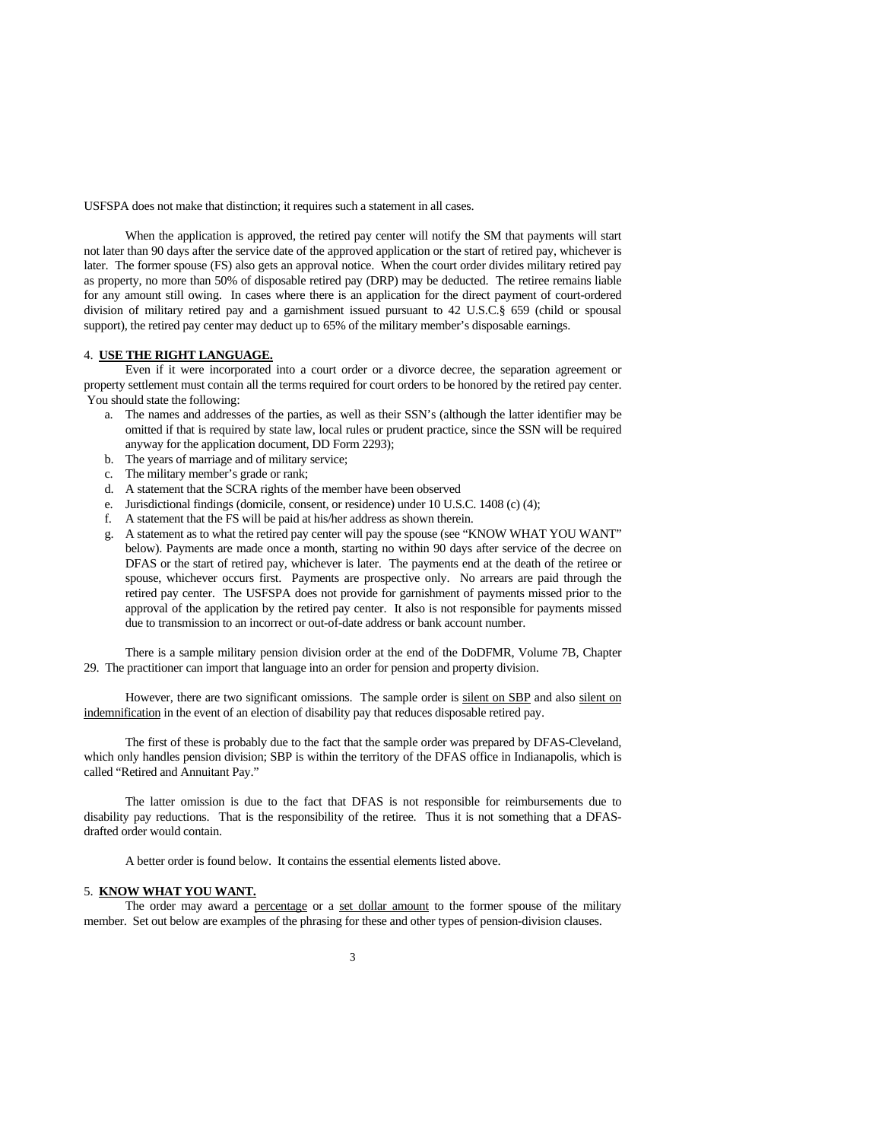USFSPA does not make that distinction; it requires such a statement in all cases.

 When the application is approved, the retired pay center will notify the SM that payments will start not later than 90 days after the service date of the approved application or the start of retired pay, whichever is later. The former spouse (FS) also gets an approval notice. When the court order divides military retired pay as property, no more than 50% of disposable retired pay (DRP) may be deducted. The retiree remains liable for any amount still owing. In cases where there is an application for the direct payment of court-ordered division of military retired pay and a garnishment issued pursuant to 42 U.S.C.§ 659 (child or spousal support), the retired pay center may deduct up to 65% of the military member's disposable earnings.

#### 4. **USE THE RIGHT LANGUAGE.**

 Even if it were incorporated into a court order or a divorce decree, the separation agreement or property settlement must contain all the terms required for court orders to be honored by the retired pay center. You should state the following:

- a. The names and addresses of the parties, as well as their SSN's (although the latter identifier may be omitted if that is required by state law, local rules or prudent practice, since the SSN will be required anyway for the application document, DD Form 2293);
- b. The years of marriage and of military service;
- c. The military member's grade or rank;
- d. A statement that the SCRA rights of the member have been observed
- e. Jurisdictional findings (domicile, consent, or residence) under 10 U.S.C. 1408 (c) (4);
- f. A statement that the FS will be paid at his/her address as shown therein.
- g. A statement as to what the retired pay center will pay the spouse (see "KNOW WHAT YOU WANT" below). Payments are made once a month, starting no within 90 days after service of the decree on DFAS or the start of retired pay, whichever is later. The payments end at the death of the retiree or spouse, whichever occurs first. Payments are prospective only. No arrears are paid through the retired pay center. The USFSPA does not provide for garnishment of payments missed prior to the approval of the application by the retired pay center. It also is not responsible for payments missed due to transmission to an incorrect or out-of-date address or bank account number.

There is a sample military pension division order at the end of the DoDFMR, Volume 7B, Chapter 29. The practitioner can import that language into an order for pension and property division.

However, there are two significant omissions. The sample order is silent on SBP and also silent on indemnification in the event of an election of disability pay that reduces disposable retired pay.

The first of these is probably due to the fact that the sample order was prepared by DFAS-Cleveland, which only handles pension division; SBP is within the territory of the DFAS office in Indianapolis, which is called "Retired and Annuitant Pay."

The latter omission is due to the fact that DFAS is not responsible for reimbursements due to disability pay reductions. That is the responsibility of the retiree. Thus it is not something that a DFASdrafted order would contain.

A better order is found below. It contains the essential elements listed above.

## 5. **KNOW WHAT YOU WANT.**

 The order may award a percentage or a set dollar amount to the former spouse of the military member. Set out below are examples of the phrasing for these and other types of pension-division clauses.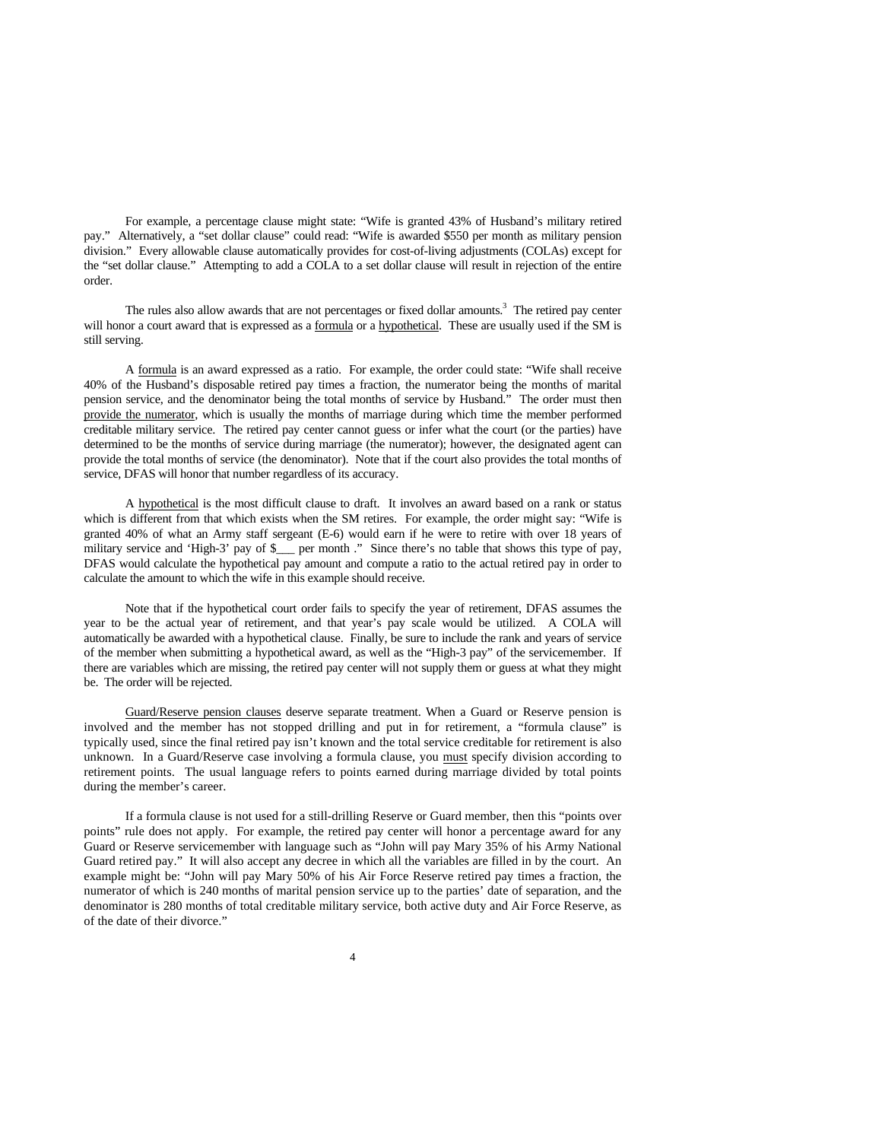For example, a percentage clause might state: "Wife is granted 43% of Husband's military retired pay." Alternatively, a "set dollar clause" could read: "Wife is awarded \$550 per month as military pension division." Every allowable clause automatically provides for cost-of-living adjustments (COLAs) except for the "set dollar clause." Attempting to add a COLA to a set dollar clause will result in rejection of the entire order.

The rules also allow awards that are not percentages or fixed dollar amounts.<sup>3</sup> The retired pay center will honor a court award that is expressed as a formula or a hypothetical. These are usually used if the SM is still serving.

 A formula is an award expressed as a ratio. For example, the order could state: "Wife shall receive 40% of the Husband's disposable retired pay times a fraction, the numerator being the months of marital pension service, and the denominator being the total months of service by Husband." The order must then provide the numerator, which is usually the months of marriage during which time the member performed creditable military service. The retired pay center cannot guess or infer what the court (or the parties) have determined to be the months of service during marriage (the numerator); however, the designated agent can provide the total months of service (the denominator). Note that if the court also provides the total months of service, DFAS will honor that number regardless of its accuracy.

 A hypothetical is the most difficult clause to draft. It involves an award based on a rank or status which is different from that which exists when the SM retires. For example, the order might say: "Wife is granted 40% of what an Army staff sergeant (E-6) would earn if he were to retire with over 18 years of military service and 'High-3' pay of \$\_\_\_ per month ." Since there's no table that shows this type of pay, DFAS would calculate the hypothetical pay amount and compute a ratio to the actual retired pay in order to calculate the amount to which the wife in this example should receive.

 Note that if the hypothetical court order fails to specify the year of retirement, DFAS assumes the year to be the actual year of retirement, and that year's pay scale would be utilized. A COLA will automatically be awarded with a hypothetical clause. Finally, be sure to include the rank and years of service of the member when submitting a hypothetical award, as well as the "High-3 pay" of the servicemember. If there are variables which are missing, the retired pay center will not supply them or guess at what they might be. The order will be rejected.

 Guard/Reserve pension clauses deserve separate treatment. When a Guard or Reserve pension is involved and the member has not stopped drilling and put in for retirement, a "formula clause" is typically used, since the final retired pay isn't known and the total service creditable for retirement is also unknown. In a Guard/Reserve case involving a formula clause, you must specify division according to retirement points. The usual language refers to points earned during marriage divided by total points during the member's career.

If a formula clause is not used for a still-drilling Reserve or Guard member, then this "points over points" rule does not apply. For example, the retired pay center will honor a percentage award for any Guard or Reserve servicemember with language such as "John will pay Mary 35% of his Army National Guard retired pay." It will also accept any decree in which all the variables are filled in by the court. An example might be: "John will pay Mary 50% of his Air Force Reserve retired pay times a fraction, the numerator of which is 240 months of marital pension service up to the parties' date of separation, and the denominator is 280 months of total creditable military service, both active duty and Air Force Reserve, as of the date of their divorce."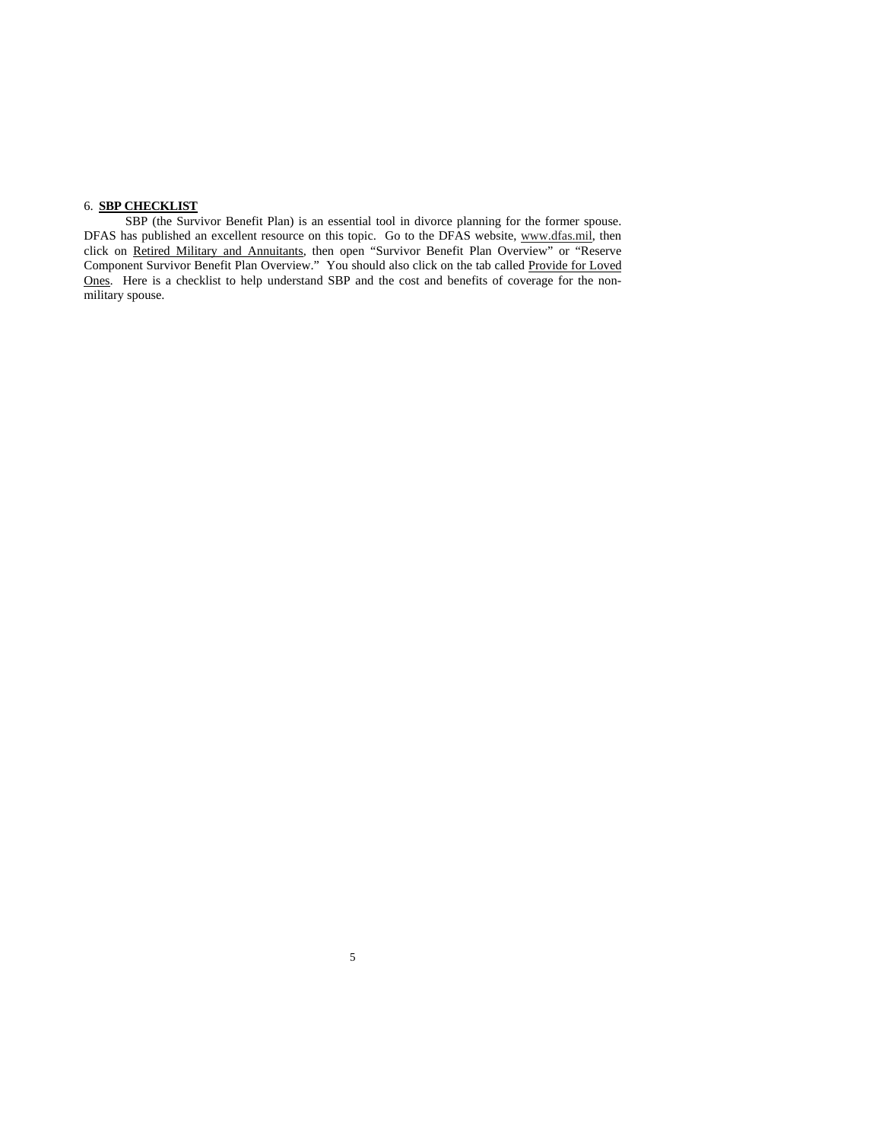## 6. **SBP CHECKLIST**

SBP (the Survivor Benefit Plan) is an essential tool in divorce planning for the former spouse. DFAS has published an excellent resource on this topic. Go to the DFAS website, www.dfas.mil, then click on Retired Military and Annuitants, then open "Survivor Benefit Plan Overview" or "Reserve Component Survivor Benefit Plan Overview." You should also click on the tab called Provide for Loved Ones. Here is a checklist to help understand SBP and the cost and benefits of coverage for the nonmilitary spouse.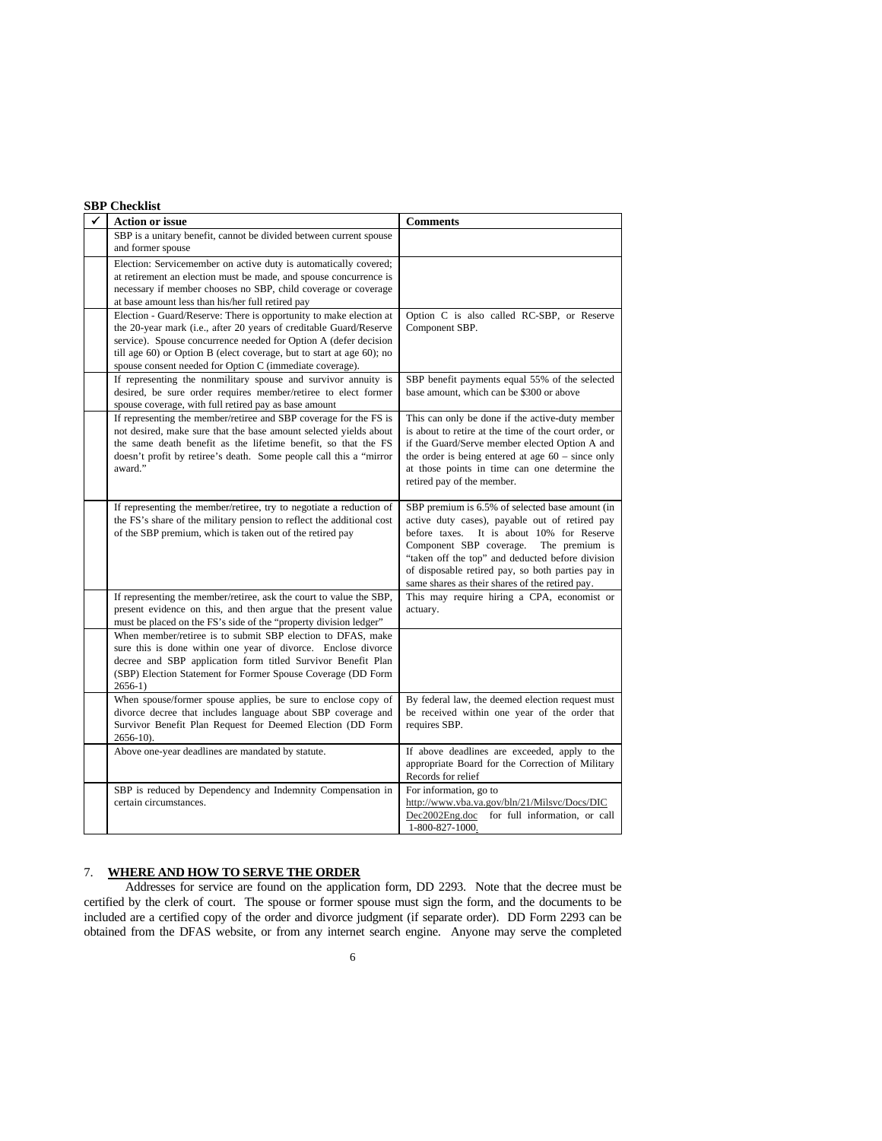|   | <b>SBP</b> Checklist                                                                                                                                                                                                                                                                                                                              |                                                                                                                                                                                                                                                                                                                                                            |  |  |  |
|---|---------------------------------------------------------------------------------------------------------------------------------------------------------------------------------------------------------------------------------------------------------------------------------------------------------------------------------------------------|------------------------------------------------------------------------------------------------------------------------------------------------------------------------------------------------------------------------------------------------------------------------------------------------------------------------------------------------------------|--|--|--|
| ✔ | <b>Action or issue</b>                                                                                                                                                                                                                                                                                                                            | <b>Comments</b>                                                                                                                                                                                                                                                                                                                                            |  |  |  |
|   | SBP is a unitary benefit, cannot be divided between current spouse<br>and former spouse                                                                                                                                                                                                                                                           |                                                                                                                                                                                                                                                                                                                                                            |  |  |  |
|   | Election: Servicemember on active duty is automatically covered;<br>at retirement an election must be made, and spouse concurrence is<br>necessary if member chooses no SBP, child coverage or coverage<br>at base amount less than his/her full retired pay                                                                                      |                                                                                                                                                                                                                                                                                                                                                            |  |  |  |
|   | Election - Guard/Reserve: There is opportunity to make election at<br>the 20-year mark (i.e., after 20 years of creditable Guard/Reserve<br>service). Spouse concurrence needed for Option A (defer decision<br>till age 60) or Option B (elect coverage, but to start at age 60); no<br>spouse consent needed for Option C (immediate coverage). | Option C is also called RC-SBP, or Reserve<br>Component SBP.                                                                                                                                                                                                                                                                                               |  |  |  |
|   | If representing the nonmilitary spouse and survivor annuity is<br>desired, be sure order requires member/retiree to elect former<br>spouse coverage, with full retired pay as base amount                                                                                                                                                         | SBP benefit payments equal 55% of the selected<br>base amount, which can be \$300 or above                                                                                                                                                                                                                                                                 |  |  |  |
|   | If representing the member/retiree and SBP coverage for the FS is<br>not desired, make sure that the base amount selected yields about<br>the same death benefit as the lifetime benefit, so that the FS<br>doesn't profit by retiree's death. Some people call this a "mirror"<br>award."                                                        | This can only be done if the active-duty member<br>is about to retire at the time of the court order, or<br>if the Guard/Serve member elected Option A and<br>the order is being entered at age $60$ – since only<br>at those points in time can one determine the<br>retired pay of the member.                                                           |  |  |  |
|   | If representing the member/retiree, try to negotiate a reduction of<br>the FS's share of the military pension to reflect the additional cost<br>of the SBP premium, which is taken out of the retired pay                                                                                                                                         | SBP premium is 6.5% of selected base amount (in<br>active duty cases), payable out of retired pay<br>before taxes.<br>It is about 10% for Reserve<br>Component SBP coverage.<br>The premium is<br>"taken off the top" and deducted before division<br>of disposable retired pay, so both parties pay in<br>same shares as their shares of the retired pay. |  |  |  |
|   | If representing the member/retiree, ask the court to value the SBP,<br>present evidence on this, and then argue that the present value<br>must be placed on the FS's side of the "property division ledger"                                                                                                                                       | This may require hiring a CPA, economist or<br>actuary.                                                                                                                                                                                                                                                                                                    |  |  |  |
|   | When member/retiree is to submit SBP election to DFAS, make<br>sure this is done within one year of divorce. Enclose divorce<br>decree and SBP application form titled Survivor Benefit Plan<br>(SBP) Election Statement for Former Spouse Coverage (DD Form<br>$2656-1)$                                                                         |                                                                                                                                                                                                                                                                                                                                                            |  |  |  |
|   | When spouse/former spouse applies, be sure to enclose copy of<br>divorce decree that includes language about SBP coverage and<br>Survivor Benefit Plan Request for Deemed Election (DD Form<br>$2656 - 10$ ).                                                                                                                                     | By federal law, the deemed election request must<br>be received within one year of the order that<br>requires SBP.                                                                                                                                                                                                                                         |  |  |  |
|   | Above one-year deadlines are mandated by statute.                                                                                                                                                                                                                                                                                                 | If above deadlines are exceeded, apply to the<br>appropriate Board for the Correction of Military<br>Records for relief                                                                                                                                                                                                                                    |  |  |  |
|   | SBP is reduced by Dependency and Indemnity Compensation in<br>certain circumstances.                                                                                                                                                                                                                                                              | For information, go to<br>http://www.vba.va.gov/bln/21/Milsvc/Docs/DIC<br>Dec2002Eng.doc for full information, or call<br>1-800-827-1000.                                                                                                                                                                                                                  |  |  |  |

## 7. **WHERE AND HOW TO SERVE THE ORDER**

 Addresses for service are found on the application form, DD 2293. Note that the decree must be certified by the clerk of court. The spouse or former spouse must sign the form, and the documents to be included are a certified copy of the order and divorce judgment (if separate order). DD Form 2293 can be obtained from the DFAS website, or from any internet search engine. Anyone may serve the completed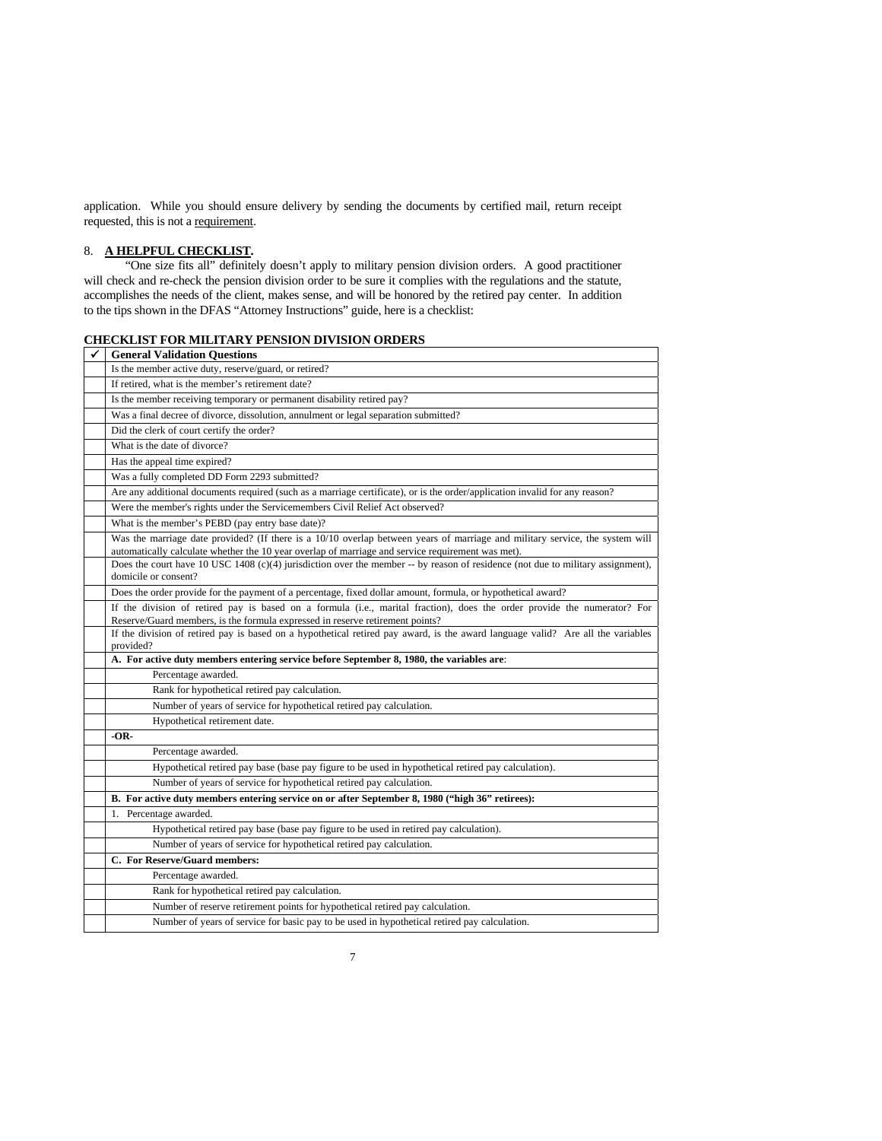application. While you should ensure delivery by sending the documents by certified mail, return receipt requested, this is not a requirement.

# 8. **A HELPFUL CHECKLIST.**

 "One size fits all" definitely doesn't apply to military pension division orders. A good practitioner will check and re-check the pension division order to be sure it complies with the regulations and the statute, accomplishes the needs of the client, makes sense, and will be honored by the retired pay center. In addition to the tips shown in the DFAS "Attorney Instructions" guide, here is a checklist:

|  | <b>CHECKLIST FOR MILITARY PENSION DIVISION ORDERS</b> |
|--|-------------------------------------------------------|
|--|-------------------------------------------------------|

| ✓ | <b>General Validation Ouestions</b>                                                                                                                                                                                               |  |  |
|---|-----------------------------------------------------------------------------------------------------------------------------------------------------------------------------------------------------------------------------------|--|--|
|   | Is the member active duty, reserve/guard, or retired?                                                                                                                                                                             |  |  |
|   | If retired, what is the member's retirement date?                                                                                                                                                                                 |  |  |
|   | Is the member receiving temporary or permanent disability retired pay?                                                                                                                                                            |  |  |
|   | Was a final decree of divorce, dissolution, annulment or legal separation submitted?                                                                                                                                              |  |  |
|   | Did the clerk of court certify the order?                                                                                                                                                                                         |  |  |
|   | What is the date of divorce?                                                                                                                                                                                                      |  |  |
|   | Has the appeal time expired?                                                                                                                                                                                                      |  |  |
|   | Was a fully completed DD Form 2293 submitted?                                                                                                                                                                                     |  |  |
|   | Are any additional documents required (such as a marriage certificate), or is the order/application invalid for any reason?                                                                                                       |  |  |
|   | Were the member's rights under the Servicemembers Civil Relief Act observed?                                                                                                                                                      |  |  |
|   | What is the member's PEBD (pay entry base date)?                                                                                                                                                                                  |  |  |
|   | Was the marriage date provided? (If there is a 10/10 overlap between years of marriage and military service, the system will<br>automatically calculate whether the 10 year overlap of marriage and service requirement was met). |  |  |
|   | Does the court have 10 USC 1408 (c)(4) jurisdiction over the member $-$ by reason of residence (not due to military assignment),<br>domicile or consent?                                                                          |  |  |
|   | Does the order provide for the payment of a percentage, fixed dollar amount, formula, or hypothetical award?                                                                                                                      |  |  |
|   | If the division of retired pay is based on a formula (i.e., marital fraction), does the order provide the numerator? For<br>Reserve/Guard members, is the formula expressed in reserve retirement points?                         |  |  |
|   | If the division of retired pay is based on a hypothetical retired pay award, is the award language valid? Are all the variables<br>provided?                                                                                      |  |  |
|   | A. For active duty members entering service before September 8, 1980, the variables are:                                                                                                                                          |  |  |
|   | Percentage awarded.                                                                                                                                                                                                               |  |  |
|   | Rank for hypothetical retired pay calculation.                                                                                                                                                                                    |  |  |
|   | Number of years of service for hypothetical retired pay calculation.                                                                                                                                                              |  |  |
|   | Hypothetical retirement date.                                                                                                                                                                                                     |  |  |
|   | -OR-                                                                                                                                                                                                                              |  |  |
|   | Percentage awarded.                                                                                                                                                                                                               |  |  |
|   | Hypothetical retired pay base (base pay figure to be used in hypothetical retired pay calculation).                                                                                                                               |  |  |
|   | Number of years of service for hypothetical retired pay calculation.                                                                                                                                                              |  |  |
|   | B. For active duty members entering service on or after September 8, 1980 ("high 36" retirees):                                                                                                                                   |  |  |
|   | 1. Percentage awarded.                                                                                                                                                                                                            |  |  |
|   | Hypothetical retired pay base (base pay figure to be used in retired pay calculation).                                                                                                                                            |  |  |
|   | Number of years of service for hypothetical retired pay calculation.                                                                                                                                                              |  |  |
|   | C. For Reserve/Guard members:                                                                                                                                                                                                     |  |  |
|   | Percentage awarded.                                                                                                                                                                                                               |  |  |
|   | Rank for hypothetical retired pay calculation.                                                                                                                                                                                    |  |  |
|   | Number of reserve retirement points for hypothetical retired pay calculation.                                                                                                                                                     |  |  |
|   | Number of years of service for basic pay to be used in hypothetical retired pay calculation.                                                                                                                                      |  |  |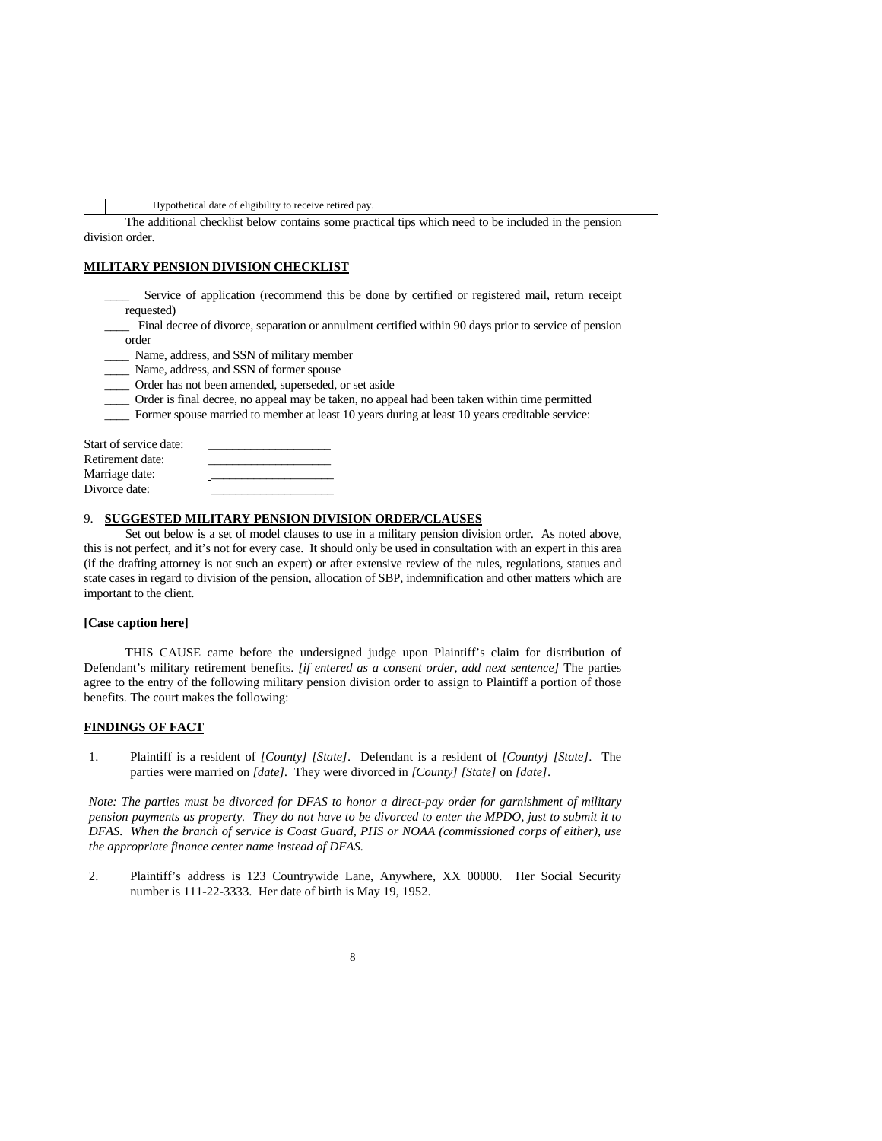Hypothetical date of eligibility to receive retired pay.

 The additional checklist below contains some practical tips which need to be included in the pension division order.

#### **MILITARY PENSION DIVISION CHECKLIST**

Service of application (recommend this be done by certified or registered mail, return receipt requested)

Final decree of divorce, separation or annulment certified within 90 days prior to service of pension order

\_\_\_\_ Name, address, and SSN of military member

\_\_\_\_ Name, address, and SSN of former spouse

\_\_\_\_ Order has not been amended, superseded, or set aside

\_\_\_\_ Order is final decree, no appeal may be taken, no appeal had been taken within time permitted

\_\_\_\_ Former spouse married to member at least 10 years during at least 10 years creditable service:

| Start of service date: |  |
|------------------------|--|
| Retirement date:       |  |
| Marriage date:         |  |
| Divorce date:          |  |

#### 9. **SUGGESTED MILITARY PENSION DIVISION ORDER/CLAUSES**

 Set out below is a set of model clauses to use in a military pension division order. As noted above, this is not perfect, and it's not for every case. It should only be used in consultation with an expert in this area (if the drafting attorney is not such an expert) or after extensive review of the rules, regulations, statues and state cases in regard to division of the pension, allocation of SBP, indemnification and other matters which are important to the client.

#### **[Case caption here]**

 THIS CAUSE came before the undersigned judge upon Plaintiff's claim for distribution of Defendant's military retirement benefits. *[if entered as a consent order, add next sentence]* The parties agree to the entry of the following military pension division order to assign to Plaintiff a portion of those benefits. The court makes the following:

#### **FINDINGS OF FACT**

1. Plaintiff is a resident of *[County] [State]*. Defendant is a resident of *[County] [State]*. The parties were married on *[date].* They were divorced in *[County] [State]* on *[date]*.

*Note: The parties must be divorced for DFAS to honor a direct-pay order for garnishment of military pension payments as property. They do not have to be divorced to enter the MPDO, just to submit it to DFAS. When the branch of service is Coast Guard, PHS or NOAA (commissioned corps of either), use the appropriate finance center name instead of DFAS.*

2. Plaintiff's address is 123 Countrywide Lane, Anywhere, XX 00000. Her Social Security number is 111-22-3333. Her date of birth is May 19, 1952.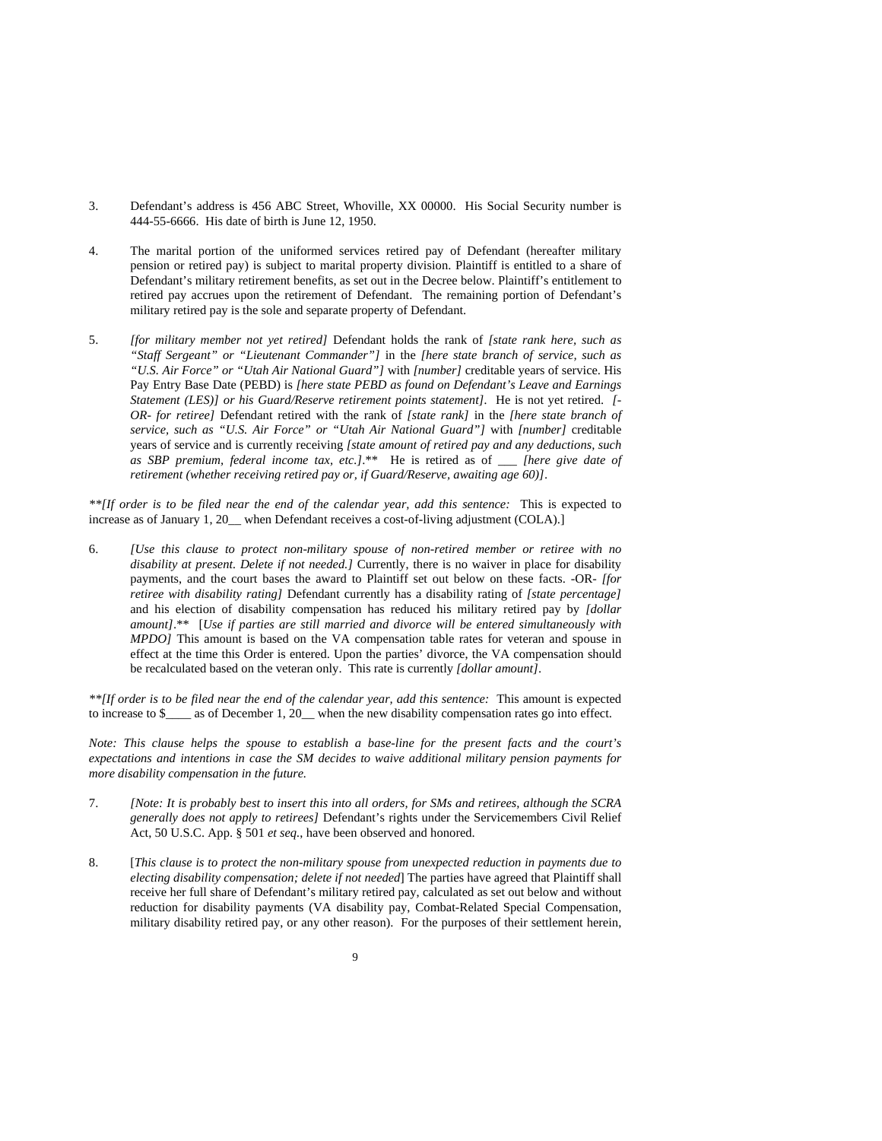- 3. Defendant's address is 456 ABC Street, Whoville, XX 00000. His Social Security number is 444-55-6666. His date of birth is June 12, 1950.
- 4. The marital portion of the uniformed services retired pay of Defendant (hereafter military pension or retired pay) is subject to marital property division. Plaintiff is entitled to a share of Defendant's military retirement benefits, as set out in the Decree below. Plaintiff's entitlement to retired pay accrues upon the retirement of Defendant. The remaining portion of Defendant's military retired pay is the sole and separate property of Defendant.
- 5. *[for military member not yet retired]* Defendant holds the rank of *[state rank here, such as "Staff Sergeant" or "Lieutenant Commander"]* in the *[here state branch of service, such as "U.S. Air Force" or "Utah Air National Guard"]* with *[number]* creditable years of service. His Pay Entry Base Date (PEBD) is *[here state PEBD as found on Defendant's Leave and Earnings Statement (LES)] or his Guard/Reserve retirement points statement].* He is not yet retired. *[- OR- for retiree]* Defendant retired with the rank of *[state rank]* in the *[here state branch of service, such as "U.S. Air Force" or "Utah Air National Guard"]* with *[number]* creditable years of service and is currently receiving *[state amount of retired pay and any deductions, such as SBP premium, federal income tax, etc.]*.\*\* He is retired as of \_\_\_ *[here give date of retirement (whether receiving retired pay or, if Guard/Reserve, awaiting age 60)]*.

*\*\*[If order is to be filed near the end of the calendar year, add this sentence:* This is expected to increase as of January 1, 20\_ when Defendant receives a cost-of-living adjustment (COLA).]

6. *[Use this clause to protect non-military spouse of non-retired member or retiree with no disability at present. Delete if not needed.]* Currently, there is no waiver in place for disability payments, and the court bases the award to Plaintiff set out below on these facts. -OR- *[for retiree with disability rating]* Defendant currently has a disability rating of *[state percentage]* and his election of disability compensation has reduced his military retired pay by *[dollar amount]*.\*\* [*Use if parties are still married and divorce will be entered simultaneously with MPDO]* This amount is based on the VA compensation table rates for veteran and spouse in effect at the time this Order is entered. Upon the parties' divorce, the VA compensation should be recalculated based on the veteran only. This rate is currently *[dollar amount]*.

*\*\*[If order is to be filed near the end of the calendar year, add this sentence:* This amount is expected to increase to \$\_\_\_\_ as of December 1, 20\_\_ when the new disability compensation rates go into effect.

*Note: This clause helps the spouse to establish a base-line for the present facts and the court's expectations and intentions in case the SM decides to waive additional military pension payments for more disability compensation in the future.* 

- 7. *[Note: It is probably best to insert this into all orders, for SMs and retirees, although the SCRA generally does not apply to retirees]* Defendant's rights under the Servicemembers Civil Relief Act, 50 U.S.C. App. § 501 *et seq.*, have been observed and honored.
- 8. [*This clause is to protect the non-military spouse from unexpected reduction in payments due to electing disability compensation; delete if not needed*] The parties have agreed that Plaintiff shall receive her full share of Defendant's military retired pay, calculated as set out below and without reduction for disability payments (VA disability pay, Combat-Related Special Compensation, military disability retired pay, or any other reason). For the purposes of their settlement herein,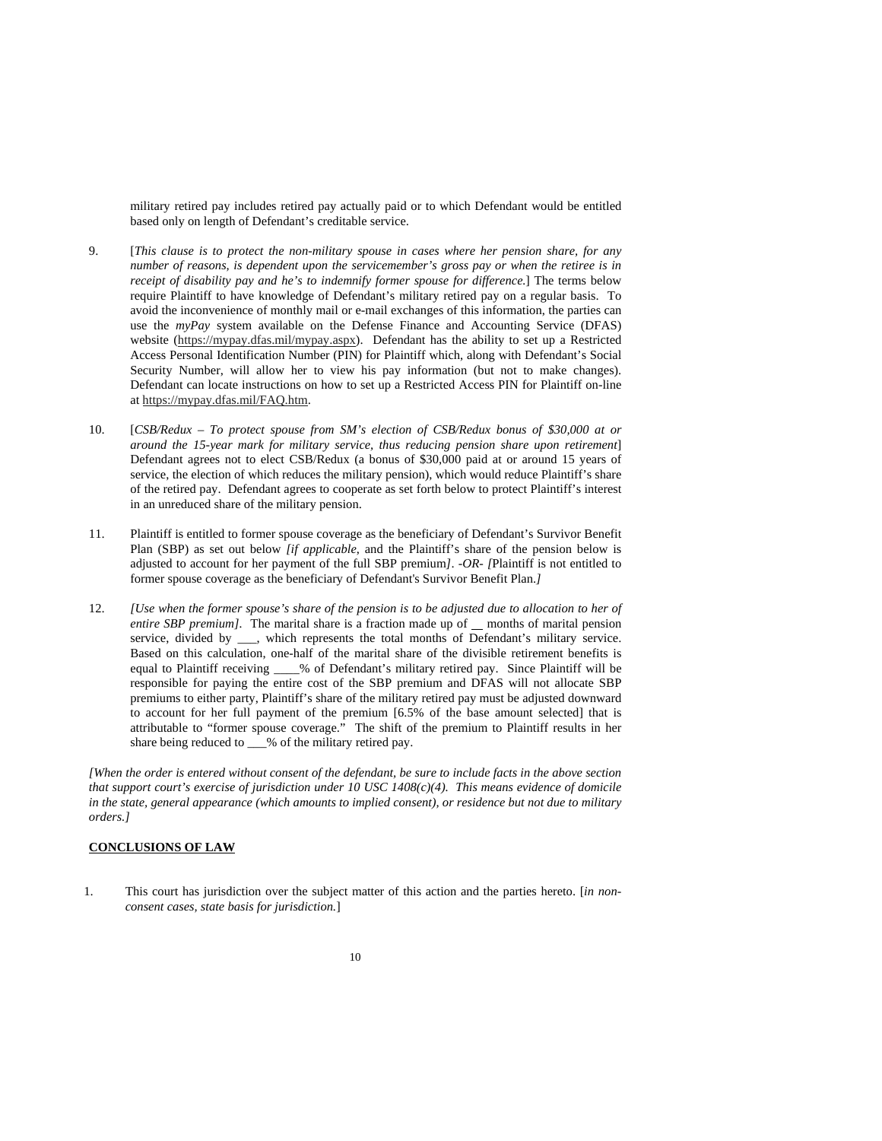military retired pay includes retired pay actually paid or to which Defendant would be entitled based only on length of Defendant's creditable service.

- 9. [*This clause is to protect the non-military spouse in cases where her pension share, for any number of reasons, is dependent upon the servicemember's gross pay or when the retiree is in receipt of disability pay and he's to indemnify former spouse for difference.*] The terms below require Plaintiff to have knowledge of Defendant's military retired pay on a regular basis. To avoid the inconvenience of monthly mail or e-mail exchanges of this information, the parties can use the *myPay* system available on the Defense Finance and Accounting Service (DFAS) website (https://mypay.dfas.mil/mypay.aspx). Defendant has the ability to set up a Restricted Access Personal Identification Number (PIN) for Plaintiff which, along with Defendant's Social Security Number, will allow her to view his pay information (but not to make changes). Defendant can locate instructions on how to set up a Restricted Access PIN for Plaintiff on-line at https://mypay.dfas.mil/FAQ.htm.
- 10. [*CSB/Redux To protect spouse from SM's election of CSB/Redux bonus of \$30,000 at or around the 15-year mark for military service, thus reducing pension share upon retirement*] Defendant agrees not to elect CSB/Redux (a bonus of \$30,000 paid at or around 15 years of service, the election of which reduces the military pension), which would reduce Plaintiff's share of the retired pay. Defendant agrees to cooperate as set forth below to protect Plaintiff's interest in an unreduced share of the military pension.
- 11. Plaintiff is entitled to former spouse coverage as the beneficiary of Defendant's Survivor Benefit Plan (SBP) as set out below *[if applicable*, and the Plaintiff's share of the pension below is adjusted to account for her payment of the full SBP premium*]*. *-OR- [*Plaintiff is not entitled to former spouse coverage as the beneficiary of Defendant's Survivor Benefit Plan.*]*
- 12. *[Use when the former spouse's share of the pension is to be adjusted due to allocation to her of entire SBP premium]*. The marital share is a fraction made up of months of marital pension service, divided by \_\_\_, which represents the total months of Defendant's military service. Based on this calculation, one-half of the marital share of the divisible retirement benefits is equal to Plaintiff receiving \_\_\_\_% of Defendant's military retired pay. Since Plaintiff will be responsible for paying the entire cost of the SBP premium and DFAS will not allocate SBP premiums to either party, Plaintiff's share of the military retired pay must be adjusted downward to account for her full payment of the premium [6.5% of the base amount selected] that is attributable to "former spouse coverage." The shift of the premium to Plaintiff results in her share being reduced to \_\_\_% of the military retired pay.

*[When the order is entered without consent of the defendant, be sure to include facts in the above section that support court's exercise of jurisdiction under 10 USC 1408(c)(4). This means evidence of domicile in the state, general appearance (which amounts to implied consent), or residence but not due to military orders.]* 

### **CONCLUSIONS OF LAW**

1. This court has jurisdiction over the subject matter of this action and the parties hereto. [*in nonconsent cases, state basis for jurisdiction.*]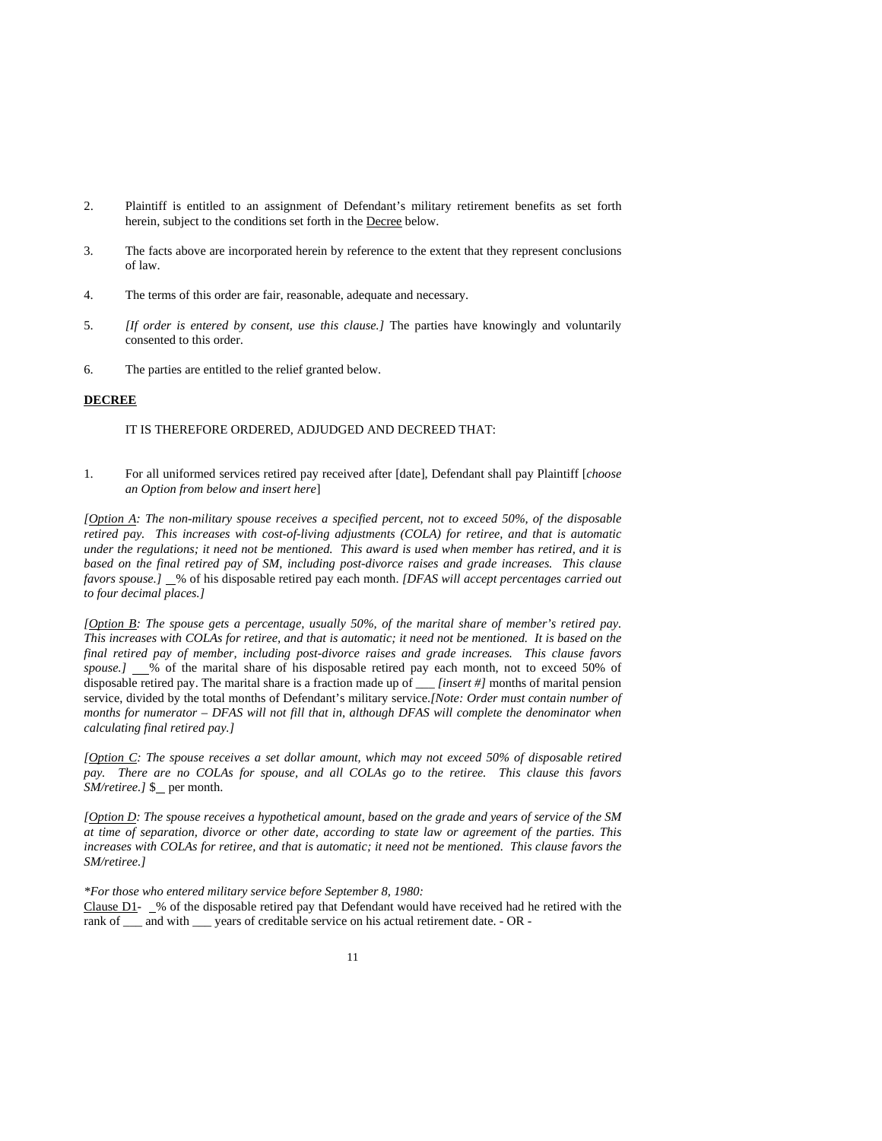- 2. Plaintiff is entitled to an assignment of Defendant's military retirement benefits as set forth herein, subject to the conditions set forth in the Decree below.
- 3. The facts above are incorporated herein by reference to the extent that they represent conclusions of law.
- 4. The terms of this order are fair, reasonable, adequate and necessary.
- 5. *[If order is entered by consent, use this clause.]* The parties have knowingly and voluntarily consented to this order.
- 6. The parties are entitled to the relief granted below.

#### **DECREE**

#### IT IS THEREFORE ORDERED, ADJUDGED AND DECREED THAT:

1. For all uniformed services retired pay received after [date], Defendant shall pay Plaintiff [*choose an Option from below and insert here*]

*[Option A: The non-military spouse receives a specified percent, not to exceed 50%, of the disposable retired pay. This increases with cost-of-living adjustments (COLA) for retiree, and that is automatic under the regulations; it need not be mentioned. This award is used when member has retired, and it is based on the final retired pay of SM, including post-divorce raises and grade increases. This clause favors spouse.]* % of his disposable retired pay each month. *[DFAS will accept percentages carried out to four decimal places.]* 

*[Option B: The spouse gets a percentage, usually 50%, of the marital share of member's retired pay. This increases with COLAs for retiree, and that is automatic; it need not be mentioned. It is based on the final retired pay of member, including post-divorce raises and grade increases. This clause favors*  spouse.]  $\_\%$  of the marital share of his disposable retired pay each month, not to exceed 50% of disposable retired pay. The marital share is a fraction made up of \_\_\_ *[insert #]* months of marital pension service, divided by the total months of Defendant's military service.*[Note: Order must contain number of months for numerator – DFAS will not fill that in, although DFAS will complete the denominator when calculating final retired pay.]* 

*[Option C: The spouse receives a set dollar amount, which may not exceed 50% of disposable retired pay. There are no COLAs for spouse, and all COLAs go to the retiree. This clause this favors SM/retiree. J* \$ per month.

*[Option D: The spouse receives a hypothetical amount, based on the grade and years of service of the SM at time of separation, divorce or other date, according to state law or agreement of the parties. This increases with COLAs for retiree, and that is automatic; it need not be mentioned. This clause favors the SM/retiree.]* 

*\*For those who entered military service before September 8, 1980:* 

Clause  $D1$ -  $\&$  of the disposable retired pay that Defendant would have received had he retired with the rank of \_\_\_ and with \_\_\_ years of creditable service on his actual retirement date. - OR -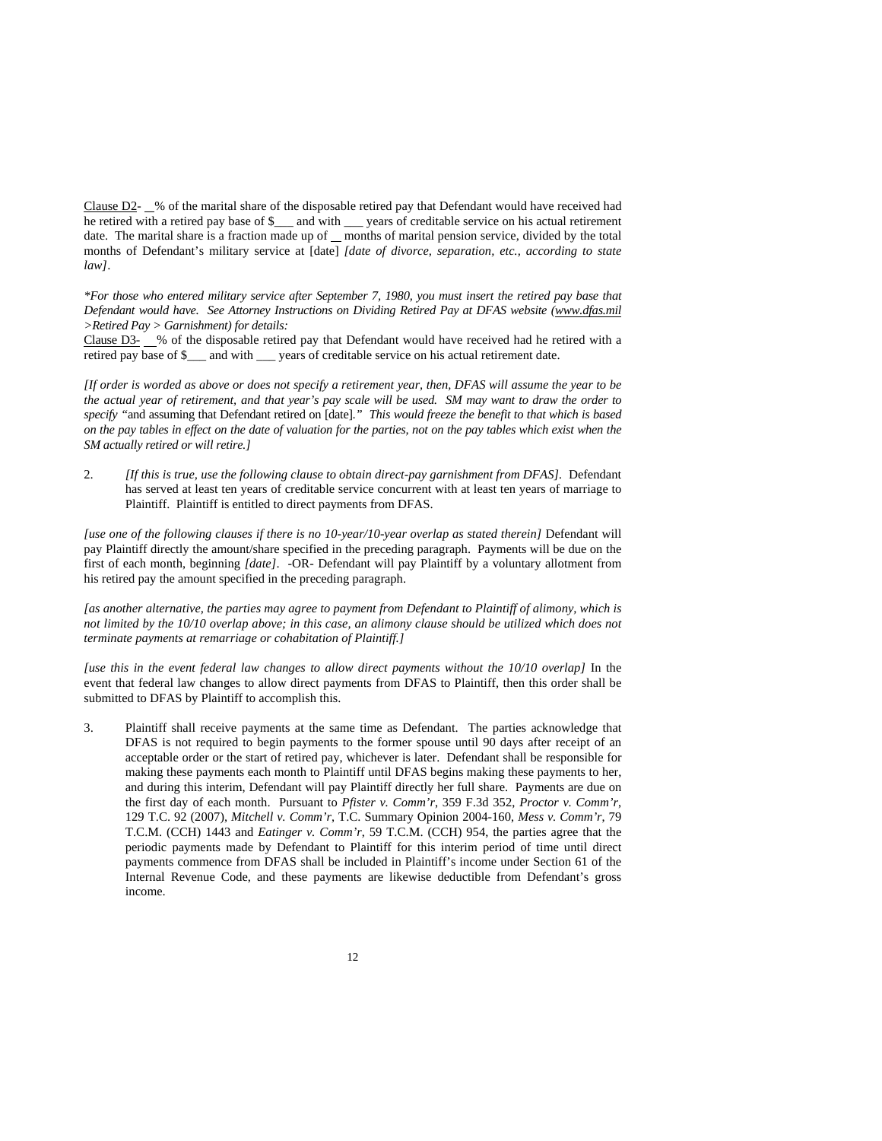Clause D2- 6 % of the marital share of the disposable retired pay that Defendant would have received had he retired with a retired pay base of \$\_\_\_ and with \_\_\_ years of creditable service on his actual retirement date. The marital share is a fraction made up of  $\equiv$  months of marital pension service, divided by the total months of Defendant's military service at [date] *[date of divorce, separation, etc., according to state law]*.

*\*For those who entered military service after September 7, 1980, you must insert the retired pay base that Defendant would have. See Attorney Instructions on Dividing Retired Pay at DFAS website (www.dfas.mil >Retired Pay > Garnishment) for details:* 

Clause D3- 6 % of the disposable retired pay that Defendant would have received had he retired with a retired pay base of \$\_\_\_ and with \_\_\_ years of creditable service on his actual retirement date.

*[If order is worded as above or does not specify a retirement year, then, DFAS will assume the year to be the actual year of retirement, and that year's pay scale will be used. SM may want to draw the order to specify "*and assuming that Defendant retired on [date].*" This would freeze the benefit to that which is based on the pay tables in effect on the date of valuation for the parties, not on the pay tables which exist when the SM actually retired or will retire.]*

2. *[If this is true, use the following clause to obtain direct-pay garnishment from DFAS].* Defendant has served at least ten years of creditable service concurrent with at least ten years of marriage to Plaintiff. Plaintiff is entitled to direct payments from DFAS.

*[use one of the following clauses if there is no 10-year/10-year overlap as stated therein]* Defendant will pay Plaintiff directly the amount/share specified in the preceding paragraph. Payments will be due on the first of each month, beginning *[date]*. -OR- Defendant will pay Plaintiff by a voluntary allotment from his retired pay the amount specified in the preceding paragraph.

*[as another alternative, the parties may agree to payment from Defendant to Plaintiff of alimony, which is not limited by the 10/10 overlap above; in this case, an alimony clause should be utilized which does not terminate payments at remarriage or cohabitation of Plaintiff.]*

*[use this in the event federal law changes to allow direct payments without the 10/10 overlap]* In the event that federal law changes to allow direct payments from DFAS to Plaintiff, then this order shall be submitted to DFAS by Plaintiff to accomplish this.

3. Plaintiff shall receive payments at the same time as Defendant. The parties acknowledge that DFAS is not required to begin payments to the former spouse until 90 days after receipt of an acceptable order or the start of retired pay, whichever is later. Defendant shall be responsible for making these payments each month to Plaintiff until DFAS begins making these payments to her, and during this interim, Defendant will pay Plaintiff directly her full share. Payments are due on the first day of each month. Pursuant to *Pfister v. Comm'r*, 359 F.3d 352, *Proctor v. Comm'r*, 129 T.C. 92 (2007), *Mitchell v. Comm'r*, T.C. Summary Opinion 2004-160, *Mess v. Comm'r*, 79 T.C.M. (CCH) 1443 and *Eatinger v. Comm'r*, 59 T.C.M. (CCH) 954, the parties agree that the periodic payments made by Defendant to Plaintiff for this interim period of time until direct payments commence from DFAS shall be included in Plaintiff's income under Section 61 of the Internal Revenue Code, and these payments are likewise deductible from Defendant's gross income.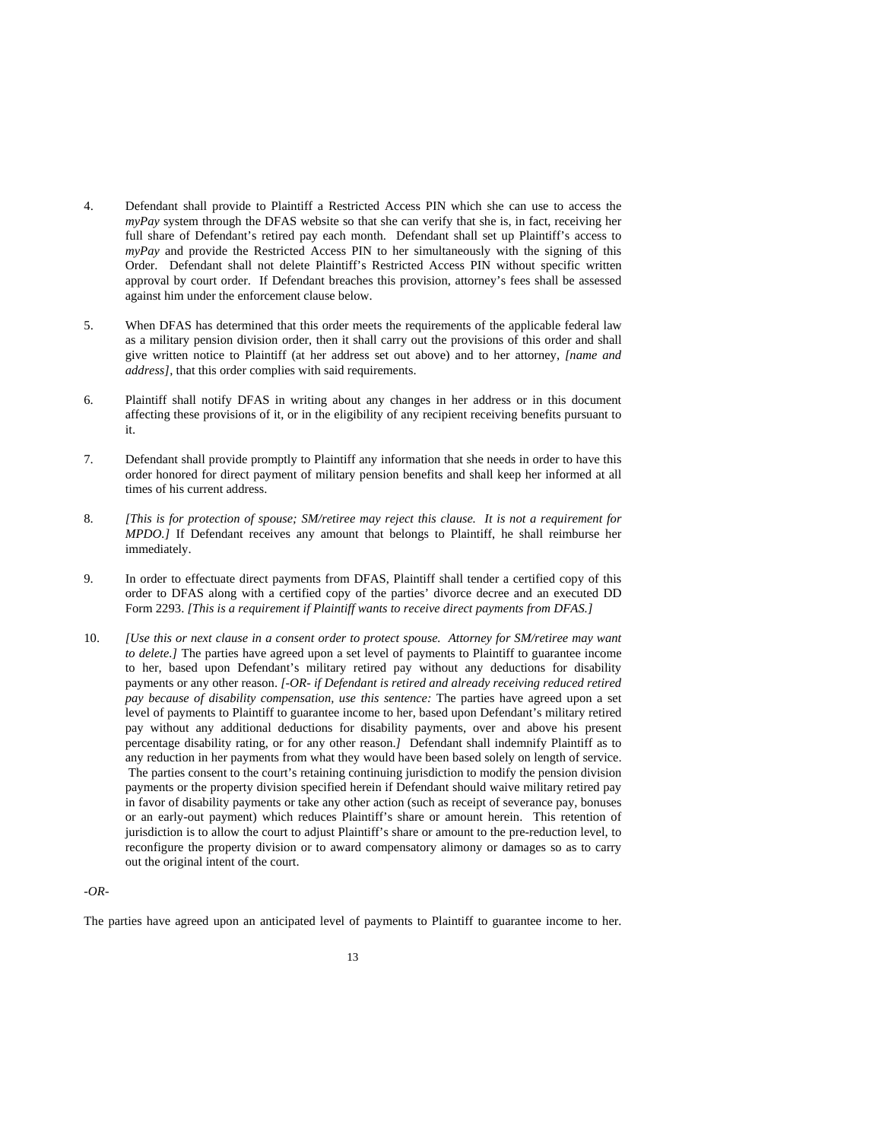- 4. Defendant shall provide to Plaintiff a Restricted Access PIN which she can use to access the *myPay* system through the DFAS website so that she can verify that she is, in fact, receiving her full share of Defendant's retired pay each month. Defendant shall set up Plaintiff's access to *myPay* and provide the Restricted Access PIN to her simultaneously with the signing of this Order. Defendant shall not delete Plaintiff's Restricted Access PIN without specific written approval by court order. If Defendant breaches this provision, attorney's fees shall be assessed against him under the enforcement clause below.
- 5. When DFAS has determined that this order meets the requirements of the applicable federal law as a military pension division order, then it shall carry out the provisions of this order and shall give written notice to Plaintiff (at her address set out above) and to her attorney, *[name and address]*, that this order complies with said requirements.
- 6. Plaintiff shall notify DFAS in writing about any changes in her address or in this document affecting these provisions of it, or in the eligibility of any recipient receiving benefits pursuant to it.
- 7. Defendant shall provide promptly to Plaintiff any information that she needs in order to have this order honored for direct payment of military pension benefits and shall keep her informed at all times of his current address.
- 8. *[This is for protection of spouse; SM/retiree may reject this clause. It is not a requirement for MPDO.]* If Defendant receives any amount that belongs to Plaintiff, he shall reimburse her immediately.
- 9. In order to effectuate direct payments from DFAS, Plaintiff shall tender a certified copy of this order to DFAS along with a certified copy of the parties' divorce decree and an executed DD Form 2293. *[This is a requirement if Plaintiff wants to receive direct payments from DFAS.]*
- 10. *[Use this or next clause in a consent order to protect spouse. Attorney for SM/retiree may want to delete.]* The parties have agreed upon a set level of payments to Plaintiff to guarantee income to her, based upon Defendant's military retired pay without any deductions for disability payments or any other reason. *[-OR- if Defendant is retired and already receiving reduced retired pay because of disability compensation, use this sentence:* The parties have agreed upon a set level of payments to Plaintiff to guarantee income to her, based upon Defendant's military retired pay without any additional deductions for disability payments, over and above his present percentage disability rating, or for any other reason.*]* Defendant shall indemnify Plaintiff as to any reduction in her payments from what they would have been based solely on length of service. The parties consent to the court's retaining continuing jurisdiction to modify the pension division payments or the property division specified herein if Defendant should waive military retired pay in favor of disability payments or take any other action (such as receipt of severance pay, bonuses or an early-out payment) which reduces Plaintiff's share or amount herein. This retention of jurisdiction is to allow the court to adjust Plaintiff's share or amount to the pre-reduction level, to reconfigure the property division or to award compensatory alimony or damages so as to carry out the original intent of the court.

## *-OR-*

The parties have agreed upon an anticipated level of payments to Plaintiff to guarantee income to her.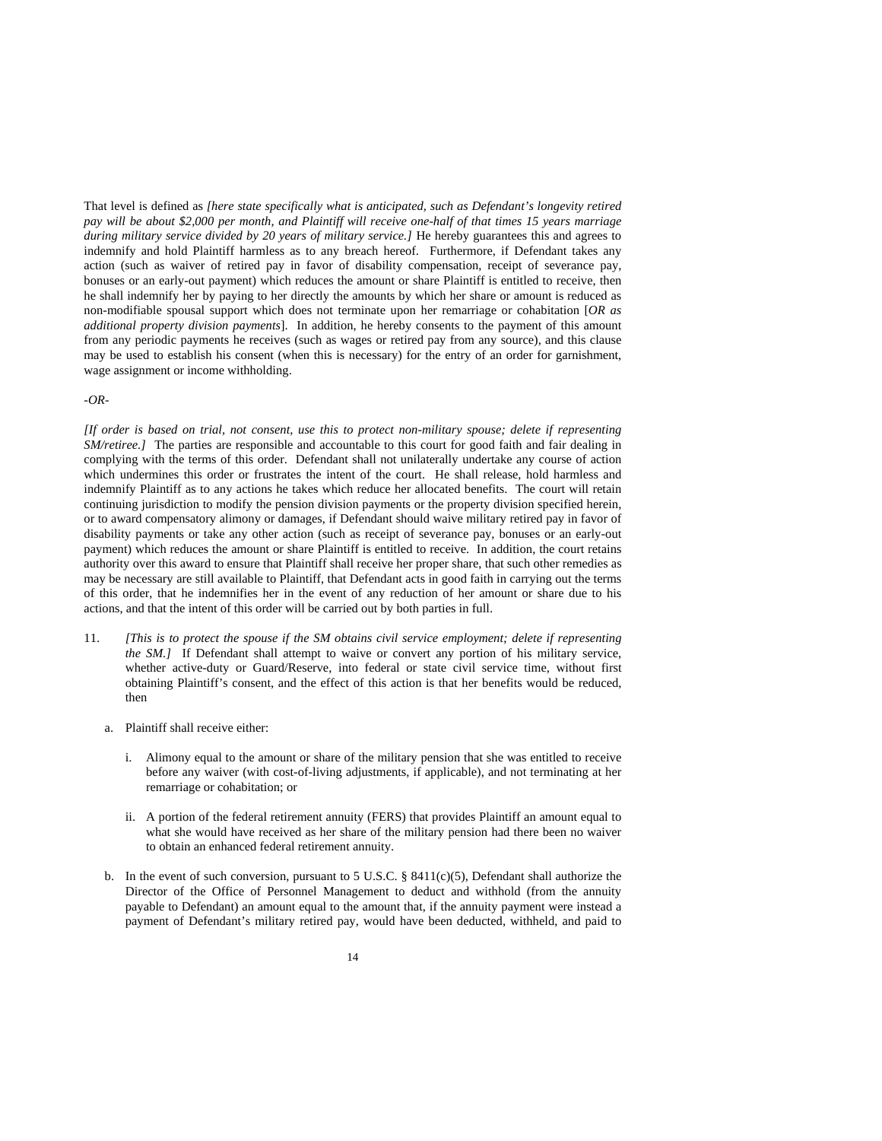That level is defined as *[here state specifically what is anticipated, such as Defendant's longevity retired pay will be about \$2,000 per month, and Plaintiff will receive one-half of that times 15 years marriage during military service divided by 20 years of military service.]* He hereby guarantees this and agrees to indemnify and hold Plaintiff harmless as to any breach hereof. Furthermore, if Defendant takes any action (such as waiver of retired pay in favor of disability compensation, receipt of severance pay, bonuses or an early-out payment) which reduces the amount or share Plaintiff is entitled to receive, then he shall indemnify her by paying to her directly the amounts by which her share or amount is reduced as non-modifiable spousal support which does not terminate upon her remarriage or cohabitation [*OR as additional property division payments*]. In addition, he hereby consents to the payment of this amount from any periodic payments he receives (such as wages or retired pay from any source), and this clause may be used to establish his consent (when this is necessary) for the entry of an order for garnishment, wage assignment or income withholding.

#### *-OR-*

*[If order is based on trial, not consent, use this to protect non-military spouse; delete if representing SM/retiree.]* The parties are responsible and accountable to this court for good faith and fair dealing in complying with the terms of this order. Defendant shall not unilaterally undertake any course of action which undermines this order or frustrates the intent of the court. He shall release, hold harmless and indemnify Plaintiff as to any actions he takes which reduce her allocated benefits. The court will retain continuing jurisdiction to modify the pension division payments or the property division specified herein, or to award compensatory alimony or damages, if Defendant should waive military retired pay in favor of disability payments or take any other action (such as receipt of severance pay, bonuses or an early-out payment) which reduces the amount or share Plaintiff is entitled to receive. In addition, the court retains authority over this award to ensure that Plaintiff shall receive her proper share, that such other remedies as may be necessary are still available to Plaintiff, that Defendant acts in good faith in carrying out the terms of this order, that he indemnifies her in the event of any reduction of her amount or share due to his actions, and that the intent of this order will be carried out by both parties in full.

- 11. *[This is to protect the spouse if the SM obtains civil service employment; delete if representing the SM.]* If Defendant shall attempt to waive or convert any portion of his military service, whether active-duty or Guard/Reserve, into federal or state civil service time, without first obtaining Plaintiff's consent, and the effect of this action is that her benefits would be reduced, then
	- a. Plaintiff shall receive either:
		- i. Alimony equal to the amount or share of the military pension that she was entitled to receive before any waiver (with cost-of-living adjustments, if applicable), and not terminating at her remarriage or cohabitation; or
		- ii. A portion of the federal retirement annuity (FERS) that provides Plaintiff an amount equal to what she would have received as her share of the military pension had there been no waiver to obtain an enhanced federal retirement annuity.
	- b. In the event of such conversion, pursuant to 5 U.S.C. § 8411(c)(5), Defendant shall authorize the Director of the Office of Personnel Management to deduct and withhold (from the annuity payable to Defendant) an amount equal to the amount that, if the annuity payment were instead a payment of Defendant's military retired pay, would have been deducted, withheld, and paid to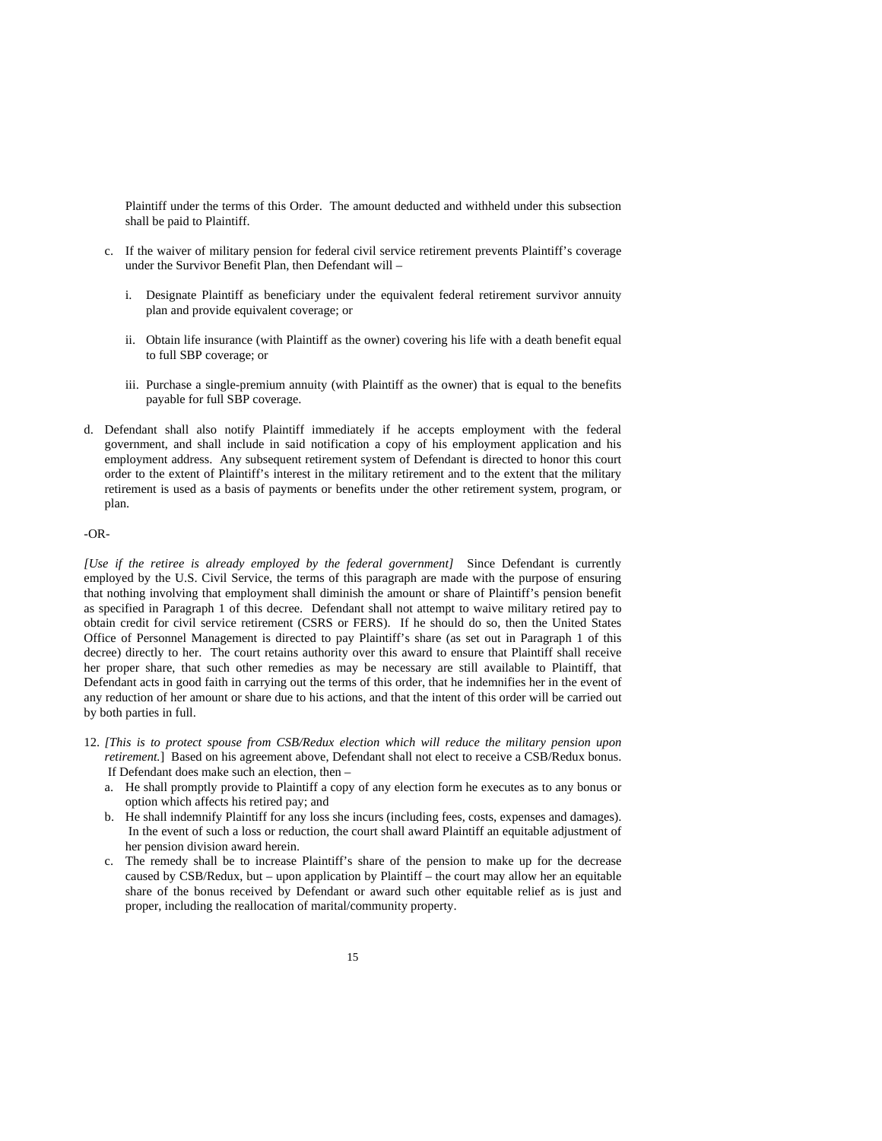Plaintiff under the terms of this Order. The amount deducted and withheld under this subsection shall be paid to Plaintiff.

- c. If the waiver of military pension for federal civil service retirement prevents Plaintiff's coverage under the Survivor Benefit Plan, then Defendant will –
	- i. Designate Plaintiff as beneficiary under the equivalent federal retirement survivor annuity plan and provide equivalent coverage; or
	- ii. Obtain life insurance (with Plaintiff as the owner) covering his life with a death benefit equal to full SBP coverage; or
	- iii. Purchase a single-premium annuity (with Plaintiff as the owner) that is equal to the benefits payable for full SBP coverage.
- d. Defendant shall also notify Plaintiff immediately if he accepts employment with the federal government, and shall include in said notification a copy of his employment application and his employment address. Any subsequent retirement system of Defendant is directed to honor this court order to the extent of Plaintiff's interest in the military retirement and to the extent that the military retirement is used as a basis of payments or benefits under the other retirement system, program, or plan.

#### -OR-

*[Use if the retiree is already employed by the federal government]* Since Defendant is currently employed by the U.S. Civil Service, the terms of this paragraph are made with the purpose of ensuring that nothing involving that employment shall diminish the amount or share of Plaintiff's pension benefit as specified in Paragraph 1 of this decree. Defendant shall not attempt to waive military retired pay to obtain credit for civil service retirement (CSRS or FERS). If he should do so, then the United States Office of Personnel Management is directed to pay Plaintiff's share (as set out in Paragraph 1 of this decree) directly to her. The court retains authority over this award to ensure that Plaintiff shall receive her proper share, that such other remedies as may be necessary are still available to Plaintiff, that Defendant acts in good faith in carrying out the terms of this order, that he indemnifies her in the event of any reduction of her amount or share due to his actions, and that the intent of this order will be carried out by both parties in full.

- 12. *[This is to protect spouse from CSB/Redux election which will reduce the military pension upon retirement.*] Based on his agreement above, Defendant shall not elect to receive a CSB/Redux bonus. If Defendant does make such an election, then –
	- a. He shall promptly provide to Plaintiff a copy of any election form he executes as to any bonus or option which affects his retired pay; and
	- b. He shall indemnify Plaintiff for any loss she incurs (including fees, costs, expenses and damages). In the event of such a loss or reduction, the court shall award Plaintiff an equitable adjustment of her pension division award herein.
	- c. The remedy shall be to increase Plaintiff's share of the pension to make up for the decrease caused by CSB/Redux, but – upon application by Plaintiff – the court may allow her an equitable share of the bonus received by Defendant or award such other equitable relief as is just and proper, including the reallocation of marital/community property.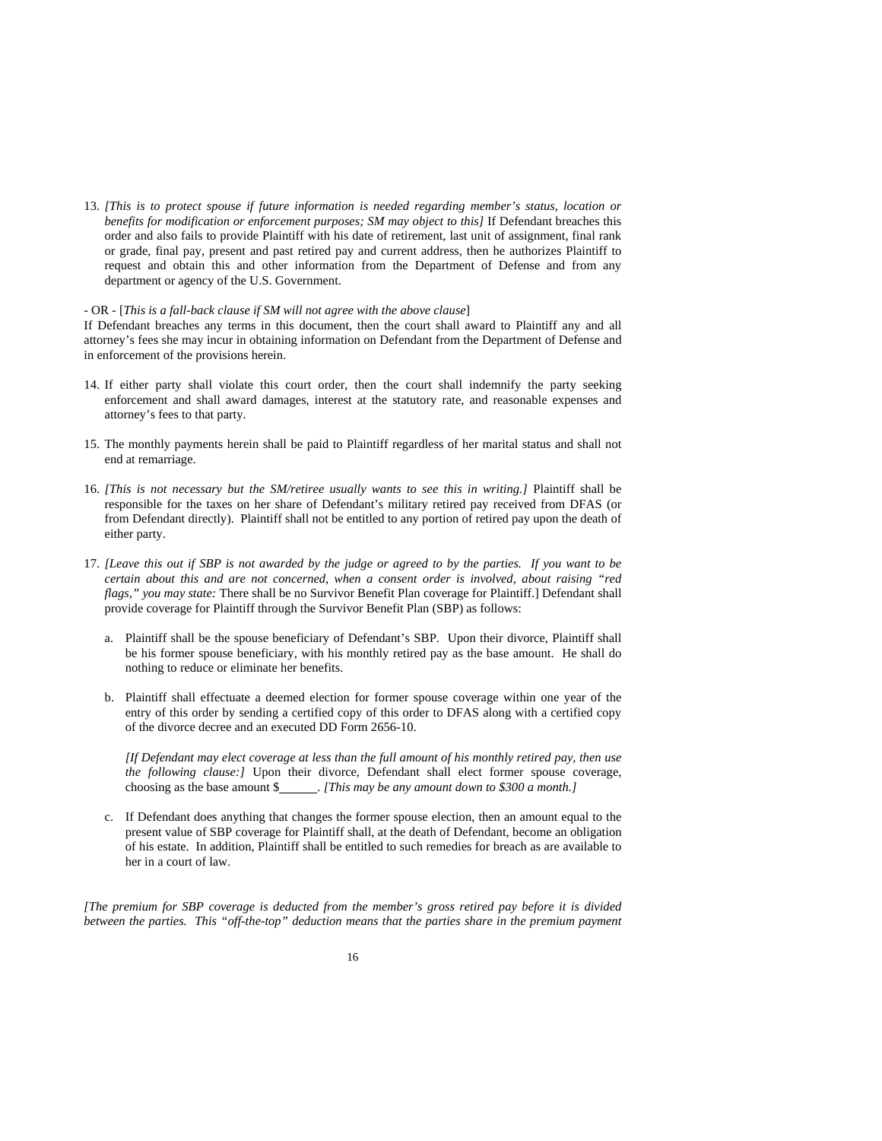13. *[This is to protect spouse if future information is needed regarding member's status, location or benefits for modification or enforcement purposes; SM may object to this]* If Defendant breaches this order and also fails to provide Plaintiff with his date of retirement, last unit of assignment, final rank or grade, final pay, present and past retired pay and current address, then he authorizes Plaintiff to request and obtain this and other information from the Department of Defense and from any department or agency of the U.S. Government.

#### - OR - [*This is a fall-back clause if SM will not agree with the above clause*]

If Defendant breaches any terms in this document, then the court shall award to Plaintiff any and all attorney's fees she may incur in obtaining information on Defendant from the Department of Defense and in enforcement of the provisions herein.

- 14. If either party shall violate this court order, then the court shall indemnify the party seeking enforcement and shall award damages, interest at the statutory rate, and reasonable expenses and attorney's fees to that party.
- 15. The monthly payments herein shall be paid to Plaintiff regardless of her marital status and shall not end at remarriage.
- 16. [This is not necessary but the SM/retiree usually wants to see this in writing.] Plaintiff shall be responsible for the taxes on her share of Defendant's military retired pay received from DFAS (or from Defendant directly). Plaintiff shall not be entitled to any portion of retired pay upon the death of either party.
- 17. *[Leave this out if SBP is not awarded by the judge or agreed to by the parties. If you want to be certain about this and are not concerned, when a consent order is involved, about raising "red flags," you may state:* There shall be no Survivor Benefit Plan coverage for Plaintiff.] Defendant shall provide coverage for Plaintiff through the Survivor Benefit Plan (SBP) as follows:
	- a. Plaintiff shall be the spouse beneficiary of Defendant's SBP. Upon their divorce, Plaintiff shall be his former spouse beneficiary, with his monthly retired pay as the base amount. He shall do nothing to reduce or eliminate her benefits.
	- b. Plaintiff shall effectuate a deemed election for former spouse coverage within one year of the entry of this order by sending a certified copy of this order to DFAS along with a certified copy of the divorce decree and an executed DD Form 2656-10.

*[If Defendant may elect coverage at less than the full amount of his monthly retired pay, then use the following clause:]* Upon their divorce, Defendant shall elect former spouse coverage, choosing as the base amount \$ . *[This may be any amount down to \$300 a month.]* 

c. If Defendant does anything that changes the former spouse election, then an amount equal to the present value of SBP coverage for Plaintiff shall, at the death of Defendant, become an obligation of his estate. In addition, Plaintiff shall be entitled to such remedies for breach as are available to her in a court of law.

*[The premium for SBP coverage is deducted from the member's gross retired pay before it is divided between the parties. This "off-the-top" deduction means that the parties share in the premium payment*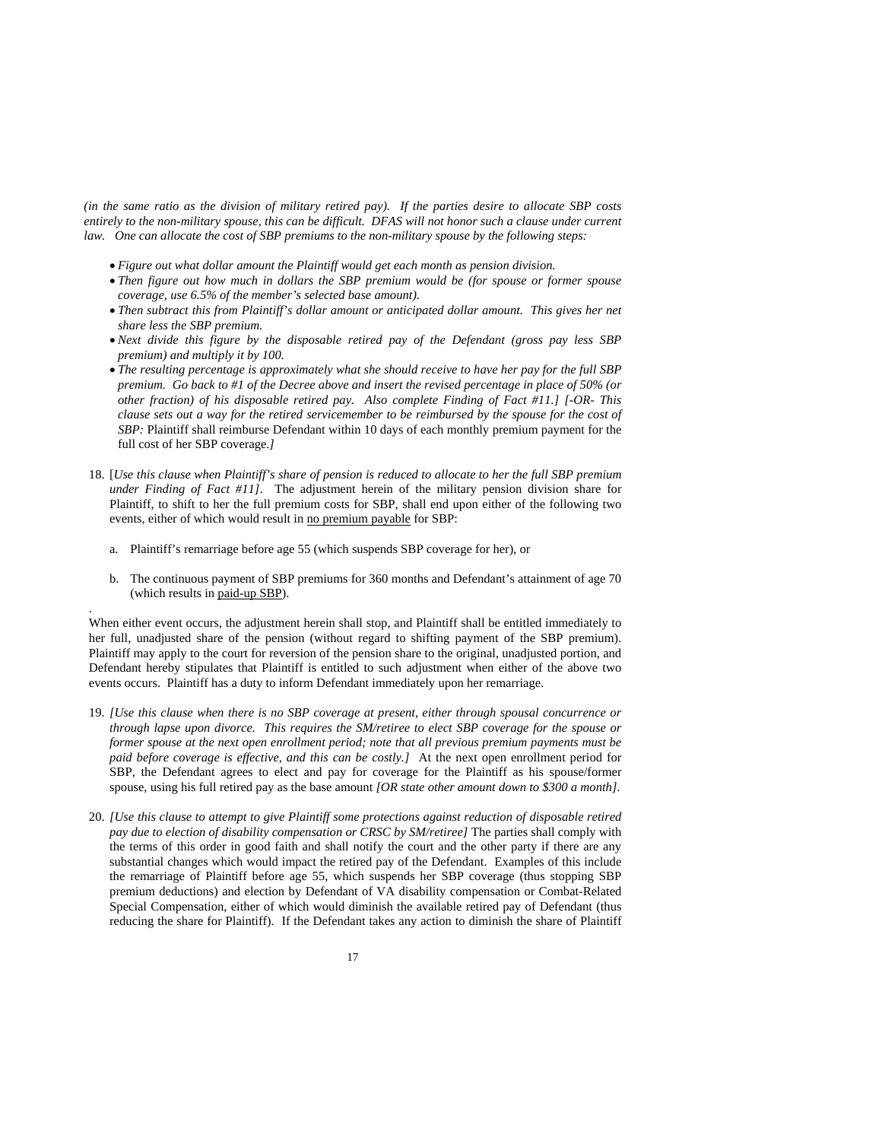*(in the same ratio as the division of military retired pay). If the parties desire to allocate SBP costs entirely to the non-military spouse, this can be difficult. DFAS will not honor such a clause under current law. One can allocate the cost of SBP premiums to the non-military spouse by the following steps:* 

- *Figure out what dollar amount the Plaintiff would get each month as pension division.*
- *Then figure out how much in dollars the SBP premium would be (for spouse or former spouse coverage, use 6.5% of the member's selected base amount).*
- *Then subtract this from Plaintiff's dollar amount or anticipated dollar amount. This gives her net share less the SBP premium.*
- *Next divide this figure by the disposable retired pay of the Defendant (gross pay less SBP premium) and multiply it by 100.*
- *The resulting percentage is approximately what she should receive to have her pay for the full SBP premium. Go back to #1 of the Decree above and insert the revised percentage in place of 50% (or other fraction) of his disposable retired pay. Also complete Finding of Fact #11.] [-OR- This clause sets out a way for the retired servicemember to be reimbursed by the spouse for the cost of SBP:* Plaintiff shall reimburse Defendant within 10 days of each monthly premium payment for the full cost of her SBP coverage.*]*
- 18. [*Use this clause when Plaintiff's share of pension is reduced to allocate to her the full SBP premium under Finding of Fact #11]*. The adjustment herein of the military pension division share for Plaintiff, to shift to her the full premium costs for SBP, shall end upon either of the following two events, either of which would result in no premium payable for SBP:
	- a. Plaintiff's remarriage before age 55 (which suspends SBP coverage for her), or

.

b. The continuous payment of SBP premiums for 360 months and Defendant's attainment of age 70 (which results in paid-up SBP).

When either event occurs, the adjustment herein shall stop, and Plaintiff shall be entitled immediately to her full, unadjusted share of the pension (without regard to shifting payment of the SBP premium). Plaintiff may apply to the court for reversion of the pension share to the original, unadjusted portion, and Defendant hereby stipulates that Plaintiff is entitled to such adjustment when either of the above two events occurs. Plaintiff has a duty to inform Defendant immediately upon her remarriage.

- 19. *[Use this clause when there is no SBP coverage at present, either through spousal concurrence or through lapse upon divorce. This requires the SM/retiree to elect SBP coverage for the spouse or former spouse at the next open enrollment period; note that all previous premium payments must be paid before coverage is effective, and this can be costly.]* At the next open enrollment period for SBP, the Defendant agrees to elect and pay for coverage for the Plaintiff as his spouse/former spouse, using his full retired pay as the base amount *[OR state other amount down to \$300 a month].*
- 20. *[Use this clause to attempt to give Plaintiff some protections against reduction of disposable retired pay due to election of disability compensation or CRSC by SM/retiree]* The parties shall comply with the terms of this order in good faith and shall notify the court and the other party if there are any substantial changes which would impact the retired pay of the Defendant. Examples of this include the remarriage of Plaintiff before age 55, which suspends her SBP coverage (thus stopping SBP premium deductions) and election by Defendant of VA disability compensation or Combat-Related Special Compensation, either of which would diminish the available retired pay of Defendant (thus reducing the share for Plaintiff). If the Defendant takes any action to diminish the share of Plaintiff